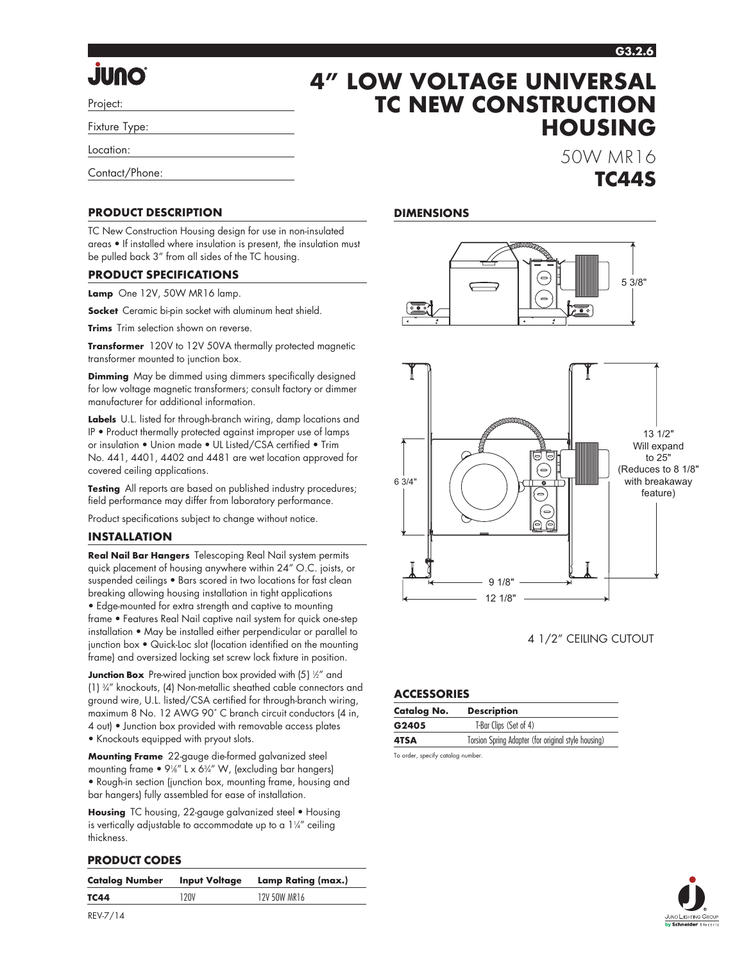#### **G3.2.6**

**HOUSING**

50W MR16

**TC44S**

# **JUNO**

Project:

Fixture Type:

Location:

Contact/Phone:

#### **PRODUCT DESCRIPTION**

TC New Construction Housing design for use in non-insulated areas • If installed where insulation is present, the insulation must be pulled back 3" from all sides of the TC housing.

#### **PRODUCT SPECIFICATIONS**

**Lamp** One 12V, 50W MR16 lamp.

**Socket** Ceramic bi-pin socket with aluminum heat shield.

**Trims** Trim selection shown on reverse.

**Transformer** 120V to 12V 50VA thermally protected magnetic transformer mounted to junction box.

**Dimming** May be dimmed using dimmers specifically designed for low voltage magnetic transformers; consult factory or dimmer manufacturer for additional information.

**Labels** U.L. listed for through-branch wiring, damp locations and IP • Product thermally protected against improper use of lamps or insulation • Union made • UL Listed/CSA certified • Trim No. 441, 4401, 4402 and 4481 are wet location approved for covered ceiling applications.

**Testing** All reports are based on published industry procedures; field performance may differ from laboratory performance.

Product specifications subject to change without notice.

#### **INSTALLATION**

**Real Nail Bar Hangers** Telescoping Real Nail system permits quick placement of housing anywhere within 24" O.C. joists, or suspended ceilings • Bars scored in two locations for fast clean breaking allowing housing installation in tight applications • Edge-mounted for extra strength and captive to mounting frame • Features Real Nail captive nail system for quick one-step installation • May be installed either perpendicular or parallel to junction box • Quick-Loc slot (location identified on the mounting frame) and oversized locking set screw lock fixture in position.

**Junction Box** Pre-wired junction box provided with (5) ½" and (1) 3 ⁄4" knockouts, (4) Non-metallic sheathed cable connectors and ground wire, U.L. listed/CSA certified for through-branch wiring, maximum 8 No. 12 AWG 90˚ C branch circuit conductors (4 in, 4 out) • Junction box provided with removable access plates • Knockouts equipped with pryout slots.

**Mounting Frame** 22-gauge die-formed galvanized steel mounting frame  $\bullet$  9¼" L x 6¾" W, (excluding bar hangers) • Rough-in section (junction box, mounting frame, housing and bar hangers) fully assembled for ease of installation.

**Housing** TC housing, 22-gauge galvanized steel • Housing is vertically adjustable to accommodate up to a  $1\frac{1}{4}$  ceiling thickness.

#### **PRODUCT CODES**

| <b>Catalog Number</b> | <b>Input Voltage</b> | Lamp Rating (max.) |
|-----------------------|----------------------|--------------------|
| <b>TC44</b>           | 120V                 | 12V 50W MR16       |
|                       |                      |                    |

#### **DIMENSIONS**

**4" LOW VOLTAGE UNIVERSAL** 

**TC NEW CONSTRUCTION** 





4 1/2" CEILING CUTOUT

#### **ACCESSORIES**

| <b>Catalog No.</b> | <b>Description</b>                                  |  |  |
|--------------------|-----------------------------------------------------|--|--|
| G2405              | T-Bar Clips (Set of 4)                              |  |  |
| 4TSA               | Torsion Spring Adapter (for original style housing) |  |  |

To order, specify catalog number.